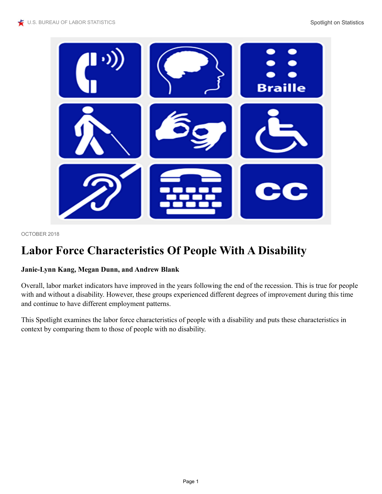

OCTOBER 2018

# **Labor Force Characteristics Of People With A Disability**

#### **Janie-Lynn Kang, Megan Dunn, and Andrew Blank**

Overall, labor market indicators have improved in the years following the end of the recession. This is true for people with and without a disability. However, these groups experienced different degrees of improvement during this time and continue to have different employment patterns.

This Spotlight examines the labor force characteristics of people with a disability and puts these characteristics in context by comparing them to those of people with no disability.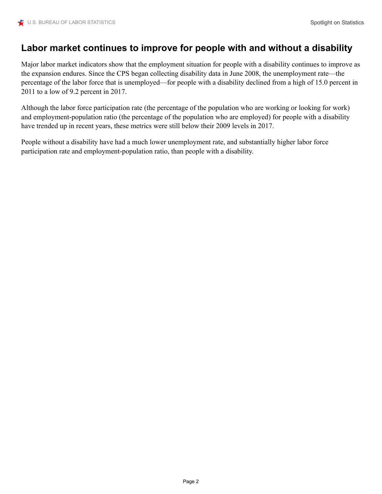### **Labor market continues to improve for people with and without a disability**

Major labor market indicators show that the employment situation for people with a disability continues to improve as the expansion endures. Since the CPS began collecting disability data in June 2008, the unemployment rate—the percentage of the labor force that is unemployed—for people with a disability declined from a high of 15.0 percent in 2011 to a low of 9.2 percent in 2017.

Although the labor force participation rate (the percentage of the population who are working or looking for work) and employment-population ratio (the percentage of the population who are employed) for people with a disability have trended up in recent years, these metrics were still below their 2009 levels in 2017.

People without a disability have had a much lower unemployment rate, and substantially higher labor force participation rate and employment-population ratio, than people with a disability.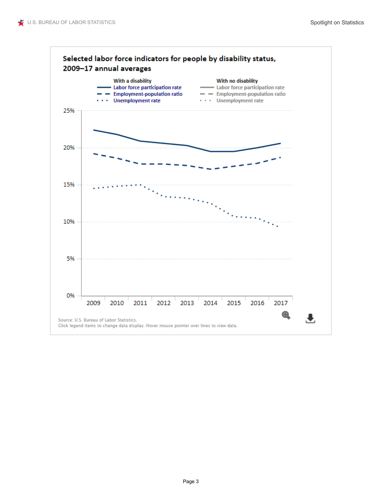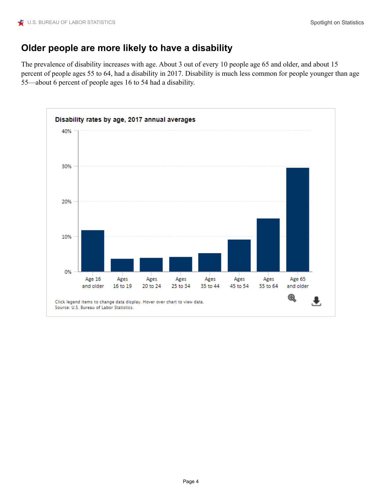### **Older people are more likely to have a disability**

The prevalence of disability increases with age. About 3 out of every 10 people age 65 and older, and about 15 percent of people ages 55 to 64, had a disability in 2017. Disability is much less common for people younger than age 55—about 6 percent of people ages 16 to 54 had a disability.

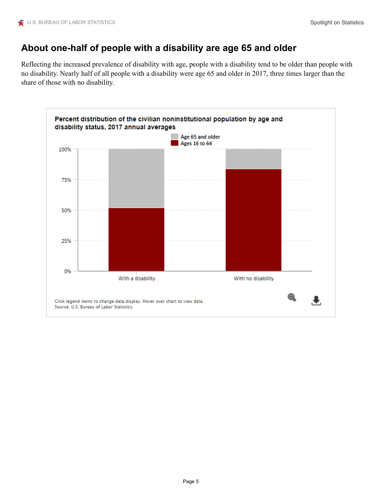### **About one-half of people with a disability are age 65 and older**

Reflecting the increased prevalence of disability with age, people with a disability tend to be older than people with no disability. Nearly half of all people with a disability were age 65 and older in 2017, three times larger than the share of those with no disability.

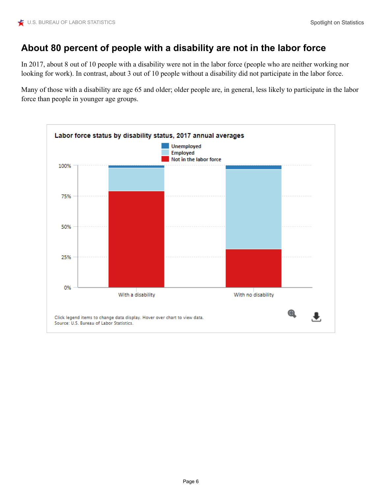## **About 80 percent of people with a disability are not in the labor force**

In 2017, about 8 out of 10 people with a disability were not in the labor force (people who are neither working nor looking for work). In contrast, about 3 out of 10 people without a disability did not participate in the labor force.

Many of those with a disability are age 65 and older; older people are, in general, less likely to participate in the labor force than people in younger age groups.

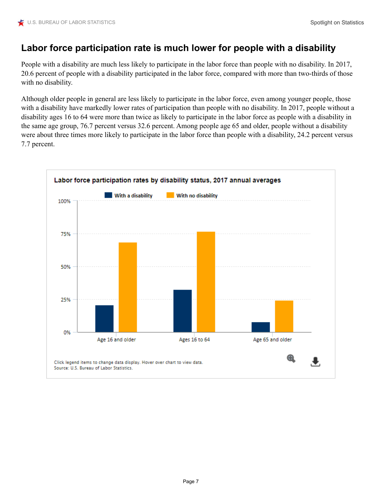### **Labor force participation rate is much lower for people with a disability**

People with a disability are much less likely to participate in the labor force than people with no disability. In 2017, 20.6 percent of people with a disability participated in the labor force, compared with more than two-thirds of those with no disability.

Although older people in general are less likely to participate in the labor force, even among younger people, those with a disability have markedly lower rates of participation than people with no disability. In 2017, people without a disability ages 16 to 64 were more than twice as likely to participate in the labor force as people with a disability in the same age group, 76.7 percent versus 32.6 percent. Among people age 65 and older, people without a disability were about three times more likely to participate in the labor force than people with a disability, 24.2 percent versus 7.7 percent.

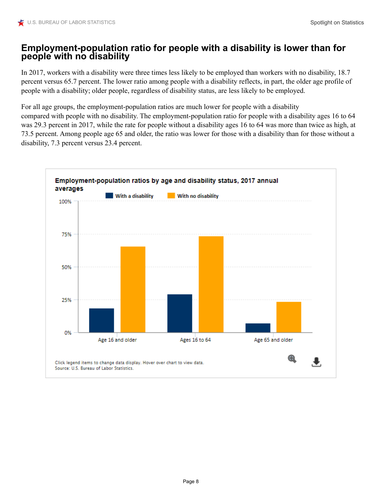#### **Employment-population ratio for people with a disability is lower than for people with no disability**

In 2017, workers with a disability were three times less likely to be employed than workers with no disability, 18.7 percent versus 65.7 percent. The lower ratio among people with a disability reflects, in part, the older age profile of people with a disability; older people, regardless of disability status, are less likely to be employed.

For all age groups, the employment-population ratios are much lower for people with a disability

compared with people with no disability. The employment-population ratio for people with a disability ages 16 to 64 was 29.3 percent in 2017, while the rate for people without a disability ages 16 to 64 was more than twice as high, at 73.5 percent. Among people age 65 and older, the ratio was lower for those with a disability than for those without a disability, 7.3 percent versus 23.4 percent.

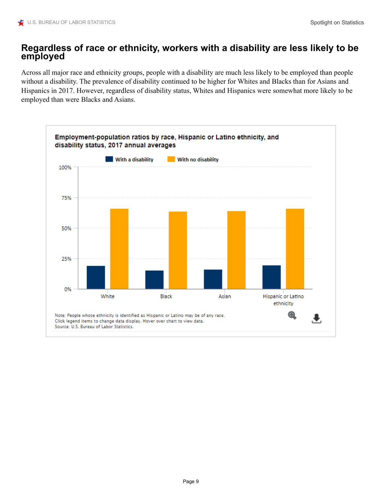### **Regardless of race or ethnicity, workers with a disability are less likely to be employed**

Across all major race and ethnicity groups, people with a disability are much less likely to be employed than people without a disability. The prevalence of disability continued to be higher for Whites and Blacks than for Asians and Hispanics in 2017. However, regardless of disability status, Whites and Hispanics were somewhat more likely to be employed than were Blacks and Asians.

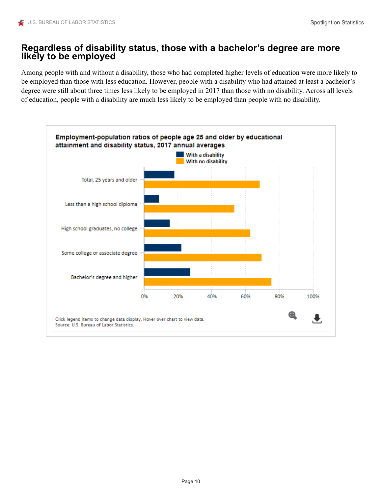### **Regardless of disability status, those with a bachelor's degree are more likely to be employed**

Among people with and without a disability, those who had completed higher levels of education were more likely to be employed than those with less education. However, people with a disability who had attained at least a bachelor's degree were still about three times less likely to be employed in 2017 than those with no disability. Across all levels of education, people with a disability are much less likely to be employed than people with no disability.

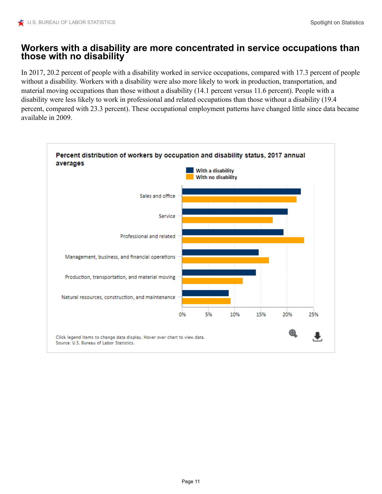#### **Workers with a disability are more concentrated in service occupations than those with no disability**

In 2017, 20.2 percent of people with a disability worked in service occupations, compared with 17.3 percent of people without a disability. Workers with a disability were also more likely to work in production, transportation, and material moving occupations than those without a disability (14.1 percent versus 11.6 percent). People with a disability were less likely to work in professional and related occupations than those without a disability (19.4 percent, compared with 23.3 percent). These occupational employment patterns have changed little since data became available in 2009.

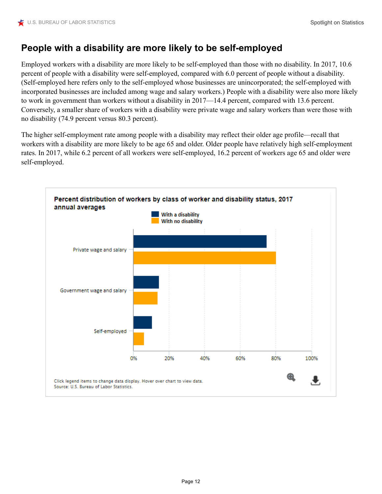## **People with a disability are more likely to be self-employed**

Employed workers with a disability are more likely to be self-employed than those with no disability. In 2017, 10.6 percent of people with a disability were self-employed, compared with 6.0 percent of people without a disability. (Self-employed here refers only to the self-employed whose businesses are unincorporated; the self-employed with incorporated businesses are included among wage and salary workers.) People with a disability were also more likely to work in government than workers without a disability in 2017—14.4 percent, compared with 13.6 percent. Conversely, a smaller share of workers with a disability were private wage and salary workers than were those with no disability (74.9 percent versus 80.3 percent).

The higher self-employment rate among people with a disability may reflect their older age profile—recall that workers with a disability are more likely to be age 65 and older. Older people have relatively high self-employment rates. In 2017, while 6.2 percent of all workers were self-employed, 16.2 percent of workers age 65 and older were self-employed.

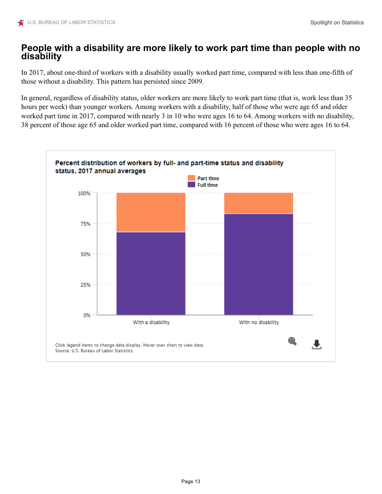#### **People with a disability are more likely to work part time than people with no disability**

In 2017, about one-third of workers with a disability usually worked part time, compared with less than one-fifth of those without a disability. This pattern has persisted since 2009.

In general, regardless of disability status, older workers are more likely to work part time (that is, work less than 35 hours per week) than younger workers. Among workers with a disability, half of those who were age 65 and older worked part time in 2017, compared with nearly 3 in 10 who were ages 16 to 64. Among workers with no disability, 38 percent of those age 65 and older worked part time, compared with 16 percent of those who were ages 16 to 64.

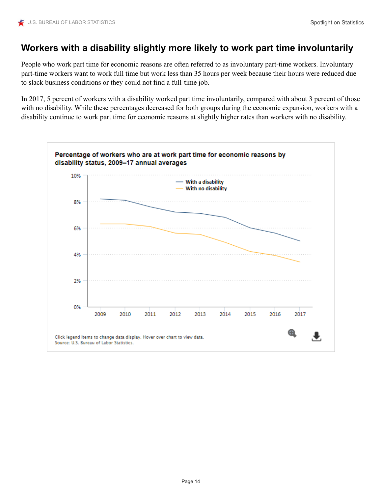### **Workers with a disability slightly more likely to work part time involuntarily**

People who work part time for economic reasons are often referred to as involuntary part-time workers. Involuntary part-time workers want to work full time but work less than 35 hours per week because their hours were reduced due to slack business conditions or they could not find a full-time job.

In 2017, 5 percent of workers with a disability worked part time involuntarily, compared with about 3 percent of those with no disability. While these percentages decreased for both groups during the economic expansion, workers with a disability continue to work part time for economic reasons at slightly higher rates than workers with no disability.

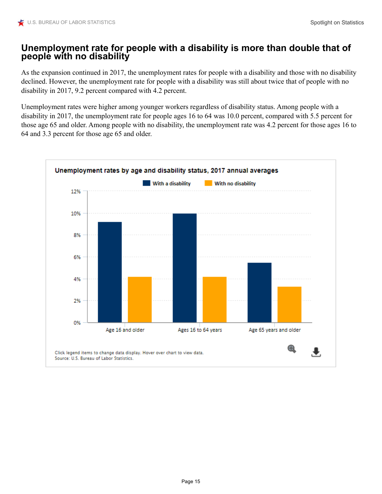#### **Unemployment rate for people with a disability is more than double that of people with no disability**

As the expansion continued in 2017, the unemployment rates for people with a disability and those with no disability declined. However, the unemployment rate for people with a disability was still about twice that of people with no disability in 2017, 9.2 percent compared with 4.2 percent.

Unemployment rates were higher among younger workers regardless of disability status. Among people with a disability in 2017, the unemployment rate for people ages 16 to 64 was 10.0 percent, compared with 5.5 percent for those age 65 and older. Among people with no disability, the unemployment rate was 4.2 percent for those ages 16 to 64 and 3.3 percent for those age 65 and older.

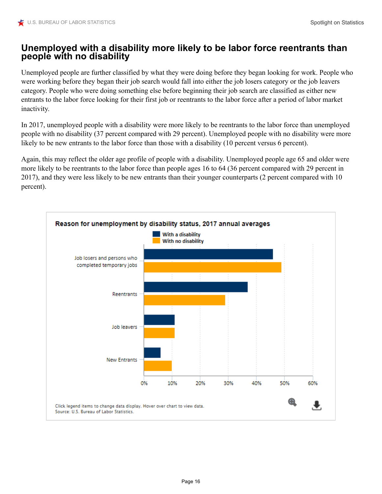### **Unemployed with a disability more likely to be labor force reentrants than people with no disability**

Unemployed people are further classified by what they were doing before they began looking for work. People who were working before they began their job search would fall into either the job losers category or the job leavers category. People who were doing something else before beginning their job search are classified as either new entrants to the labor force looking for their first job or reentrants to the labor force after a period of labor market inactivity.

In 2017, unemployed people with a disability were more likely to be reentrants to the labor force than unemployed people with no disability (37 percent compared with 29 percent). Unemployed people with no disability were more likely to be new entrants to the labor force than those with a disability (10 percent versus 6 percent).

Again, this may reflect the older age profile of people with a disability. Unemployed people age 65 and older were more likely to be reentrants to the labor force than people ages 16 to 64 (36 percent compared with 29 percent in 2017), and they were less likely to be new entrants than their younger counterparts (2 percent compared with 10 percent).

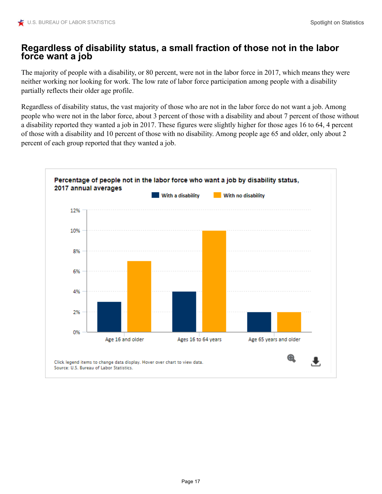### **Regardless of disability status, a small fraction of those not in the labor force want a job**

The majority of people with a disability, or 80 percent, were not in the labor force in 2017, which means they were neither working nor looking for work. The low rate of labor force participation among people with a disability partially reflects their older age profile.

Regardless of disability status, the vast majority of those who are not in the labor force do not want a job. Among people who were not in the labor force, about 3 percent of those with a disability and about 7 percent of those without a disability reported they wanted a job in 2017. These figures were slightly higher for those ages 16 to 64, 4 percent of those with a disability and 10 percent of those with no disability. Among people age 65 and older, only about 2 percent of each group reported that they wanted a job.